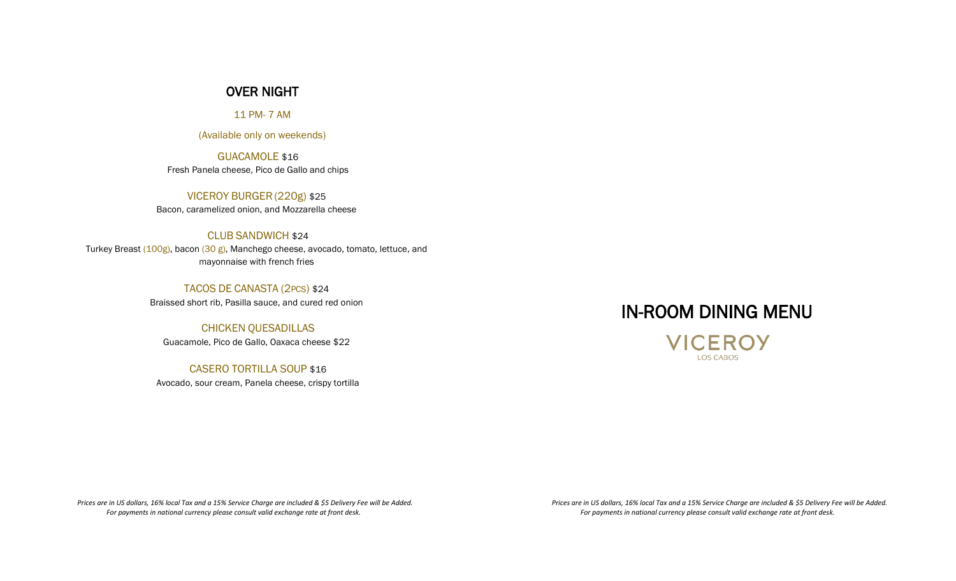### OVER NIGHT

11 PM- 7 AM

(Available only on weekends)

GUACAMOLE \$16 Fresh Panela cheese, Pico de Gallo and chips

VICEROY BURGER(220g) \$25 Bacon, caramelized onion, and Mozzarella cheese

#### CLUB SANDWICH \$24

Turkey Breast (100g), bacon (30 g), Manchego cheese, avocado, tomato, lettuce, and mayonnaise with french fries

TACOS DE CANASTA (2PCS) \$24

Braissed short rib, Pasilla sauce, and cured red onion

### CHICKEN QUESADILLAS

Guacamole, Pico de Gallo, Oaxaca cheese \$22

CASERO TORTILLA SOUP \$16

Avocado, sour cream, Panela cheese, crispy tortilla

# IN-ROOM DINING MENU

**VICEROY LOS CABOS** 

 *Prices are in US dollars, 16% local Tax and a 15% Service Charge are included & \$5 Delivery Fee will be Added. For payments in national currency please consult valid exchange rate at front desk.*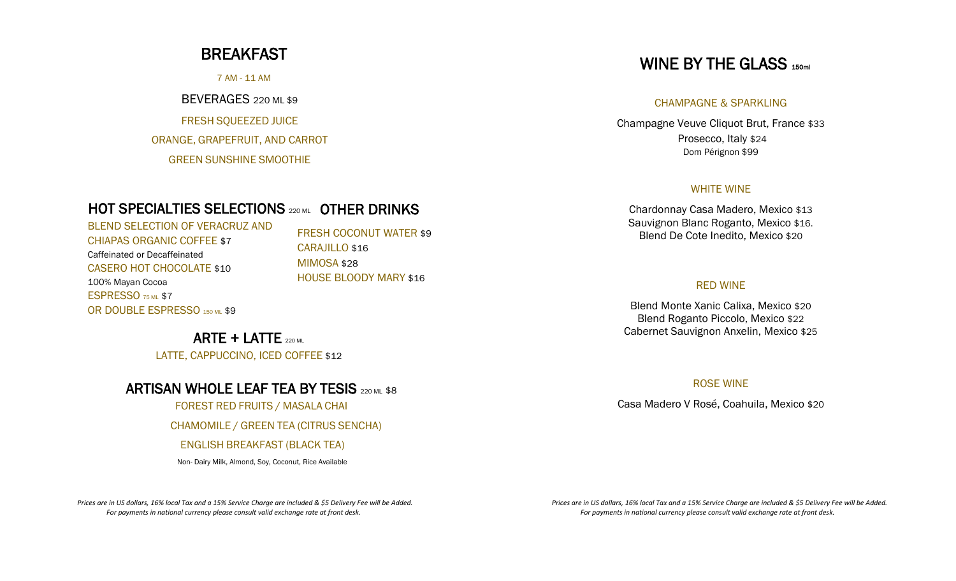### BREAKFAST

7 AM - 11 AM

BEVERAGES 220 ML \$9

FRESH SQUEEZED JUICE ORANGE, GRAPEFRUIT, AND CARROT GREEN SUNSHINE SMOOTHIE

### HOT SPECIALTIES SELECTIONS 220 ML OTHER DRINKS

BLEND SELECTION OF VERACRUZ AND CHIAPAS ORGANIC COFFEE \$7 Caffeinated or Decaffeinated CASERO HOT CHOCOLATE \$10 100% Mayan Cocoa ESPRESSO 75 ML \$7 OR DOUBLE ESPRESSO 150 ML \$9

FRESH COCONUT WATER \$9 CARAJILLO \$16 MIMOSA \$28 HOUSE BLOODY MARY \$16

ARTE + LATTE  $_{220 M}$ LATTE, CAPPUCCINO, ICED COFFEE \$12

### ARTISAN WHOLE LEAF TEA BY TESIS 220 ML \$8

FOREST RED FRUITS / MASALA CHAI

CHAMOMILE / GREEN TEA (CITRUS SENCHA)

#### ENGLISH BREAKFAST (BLACK TEA)

Non- Dairy Milk, Almond, Soy, Coconut, Rice Available

 *Prices are in US dollars, 16% local Tax and a 15% Service Charge are included & \$5 Delivery Fee will be Added. For payments in national currency please consult valid exchange rate at front desk.* 

# WINE BY THE GLASS 150ml

#### CHAMPAGNE & SPARKLING

Champagne Veuve Cliquot Brut, France \$33 Prosecco, Italy \$24 Dom Pérignon \$99

#### WHITE WINE

Chardonnay Casa Madero, Mexico \$13 Sauvignon Blanc Roganto, Mexico \$16. Blend De Cote Inedito, Mexico \$20

#### RED WINE

Blend Monte Xanic Calixa, Mexico \$20 Blend Roganto Piccolo, Mexico \$22 Cabernet Sauvignon Anxelin, Mexico \$25

#### ROSE WINE

Casa Madero V Rosé, Coahuila, Mexico \$20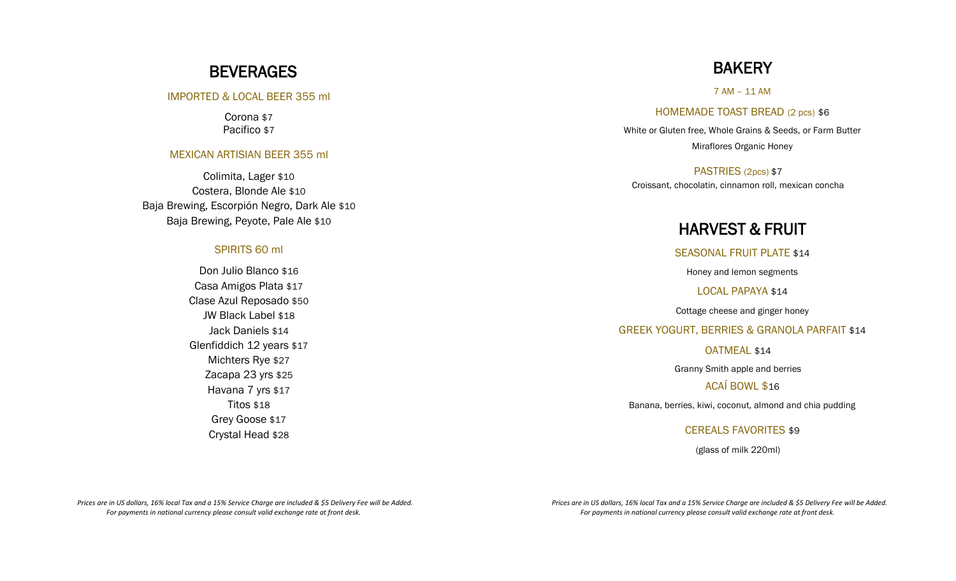### **BEVERAGES**

#### IMPORTED & LOCAL BEER 355 ml

Corona \$7 Pacifico \$7

#### MEXICAN ARTISIAN BEER 355 ml

Colimita, Lager \$10 Costera, Blonde Ale \$10 Baja Brewing, Escorpión Negro, Dark Ale \$10 Baja Brewing, Peyote, Pale Ale \$10

### SPIRITS 60 ml

Don Julio Blanco \$16 Casa Amigos Plata \$17 Clase Azul Reposado \$50 JW Black Label \$18 Jack Daniels \$14 Glenfiddich 12 years \$17 Michters Rye \$27 Zacapa 23 yrs \$25 Havana 7 yrs \$17 Titos \$18 Grey Goose \$17 Crystal Head \$28

## **BAKERY**

7 AM – 11 AM

HOMEMADE TOAST BREAD (2 pcs) \$6

White or Gluten free, Whole Grains & Seeds, or Farm Butter Miraflores Organic Honey

PASTRIES (2pcs) \$7 Croissant, chocolatin, cinnamon roll, mexican concha

### HARVEST & FRUIT

SEASONAL FRUIT PLATE \$14

Honey and lemon segments

LOCAL PAPAYA \$14

Cottage cheese and ginger honey

GREEK YOGURT, BERRIES & GRANOLA PARFAIT \$14

OATMEAL \$14

Granny Smith apple and berries

ACAÍ BOWL \$16

Banana, berries, kiwi, coconut, almond and chia pudding

CEREALS FAVORITES \$9

(glass of milk 220ml)

 *Prices are in US dollars, 16% local Tax and a 15% Service Charge are included & \$5 Delivery Fee will be Added. For payments in national currency please consult valid exchange rate at front desk.*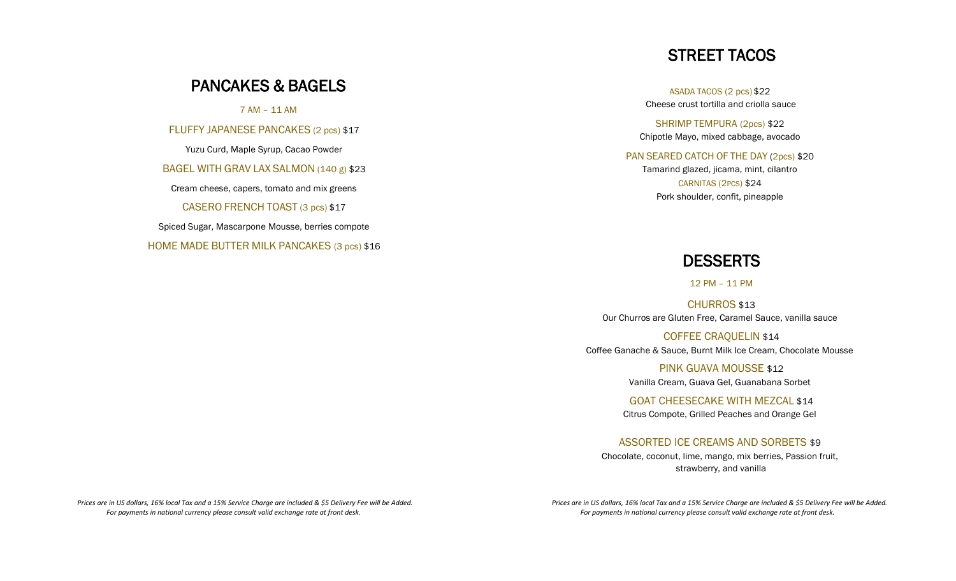# PANCAKES & BAGELS

7 AM – 11 AM

FLUFFY JAPANESE PANCAKES (2 pcs) \$17

Yuzu Curd, Maple Syrup, Cacao Powder BAGEL WITH GRAV LAX SALMON (140 g) \$23 Cream cheese, capers, tomato and mix greens CASERO FRENCH TOAST (3 pcs) \$17 Spiced Sugar, Mascarpone Mousse, berries compote HOME MADE BUTTER MILK PANCAKES (3 pcs) \$16

# STREET TACOS

ASADA TACOS (2 pcs) \$22 Cheese crust tortilla and criolla sauce

SHRIMP TEMPURA (2pcs) \$22 Chipotle Mayo, mixed cabbage, avocado

PAN SEARED CATCH OF THE DAY (2pcs) \$20 Tamarind glazed, jicama, mint, cilantro CARNITAS (2PCS) \$24 Pork shoulder, confit, pineapple

### **DESSERTS**

12 PM – 11 PM

CHURROS \$13 Our Churros are Gluten Free, Caramel Sauce, vanilla sauce

COFFEE CRAQUELIN \$14 Coffee Ganache & Sauce, Burnt Milk Ice Cream, Chocolate Mousse

> PINK GUAVA MOUSSE \$12 Vanilla Cream, Guava Gel, Guanabana Sorbet

GOAT CHEESECAKE WITH MEZCAL \$14 Citrus Compote, Grilled Peaches and Orange Gel

### ASSORTED ICE CREAMS AND SORBETS \$9

Chocolate, coconut, lime, mango, mix berries, Passion fruit, strawberry, and vanilla

 *Prices are in US dollars, 16% local Tax and a 15% Service Charge are included & \$5 Delivery Fee will be Added. For payments in national currency please consult valid exchange rate at front desk.*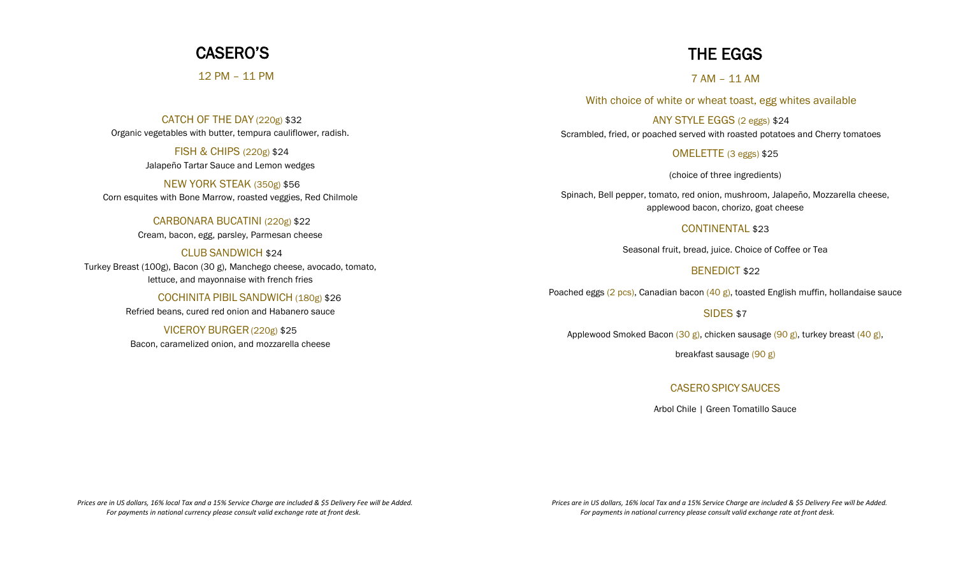## CASERO'S

12 PM – 11 PM

CATCH OF THE DAY (220g) \$32 Organic vegetables with butter, tempura cauliflower, radish.

> FISH & CHIPS (220g) \$24 Jalapeño Tartar Sauce and Lemon wedges

NEW YORK STEAK (350g) \$56 Corn esquites with Bone Marrow, roasted veggies, Red Chilmole

CARBONARA BUCATINI (220g) \$22

Cream, bacon, egg, parsley, Parmesan cheese

CLUB SANDWICH \$24 Turkey Breast (100g), Bacon (30 g), Manchego cheese, avocado, tomato, lettuce, and mayonnaise with french fries

> COCHINITA PIBIL SANDWICH (180g) \$26 Refried beans, cured red onion and Habanero sauce

VICEROY BURGER(220g) \$25 Bacon, caramelized onion, and mozzarella cheese

# THE EGGS

7 AM – 11 AM

With choice of white or wheat toast, egg whites available

ANY STYLE EGGS (2 eggs) \$24 Scrambled, fried, or poached served with roasted potatoes and Cherry tomatoes

OMELETTE (3 eggs) \$25

(choice of three ingredients)

Spinach, Bell pepper, tomato, red onion, mushroom, Jalapeño, Mozzarella cheese, applewood bacon, chorizo, goat cheese

### CONTINENTAL \$23

Seasonal fruit, bread, juice. Choice of Coffee or Tea

### BENEDICT \$22

Poached eggs (2 pcs), Canadian bacon (40 g), toasted English muffin, hollandaise sauce

SIDES \$7

Applewood Smoked Bacon (30 g), chicken sausage (90 g), turkey breast (40 g),

breakfast sausage (90 g)

### CASEROSPICYSAUCES

Arbol Chile | Green Tomatillo Sauce

 *Prices are in US dollars, 16% local Tax and a 15% Service Charge are included & \$5 Delivery Fee will be Added. For payments in national currency please consult valid exchange rate at front desk.*